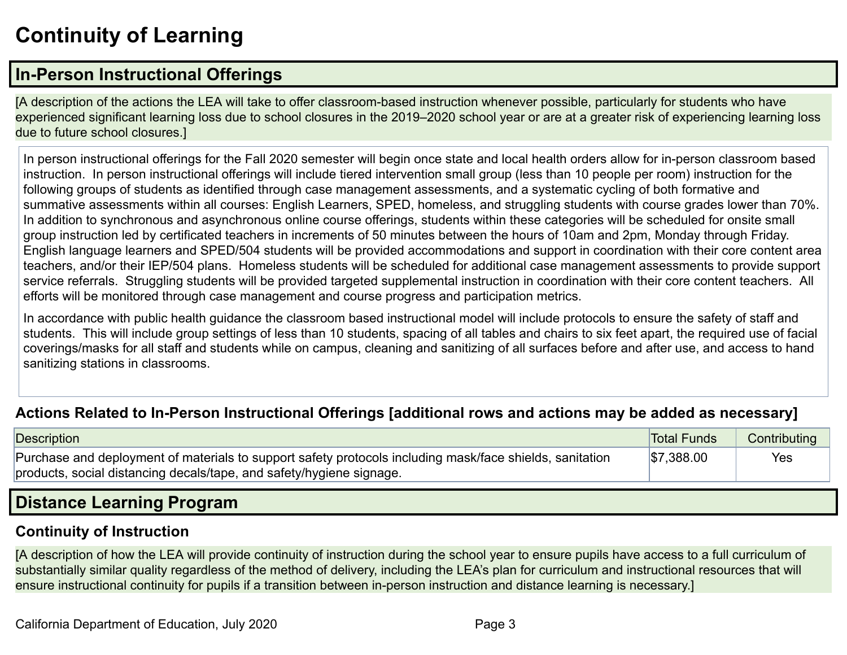# **Continuity of Learning**

## **In-Person Instructional Offerings**

[A description of the actions the LEA will take to offer classroom-based instruction whenever possible, particularly for students who have experienced significant learning loss due to school closures in the 2019–2020 school year or are at a greater risk of experiencing learning loss due to future school closures.]

In person instructional offerings for the Fall 2020 semester will begin once state and local health orders allow for in-person classroom based instruction. In person instructional offerings will include tiered intervention small group (less than 10 people per room) instruction for the following groups of students as identified through case management assessments, and a systematic cycling of both formative and summative assessments within all courses: English Learners, SPED, homeless, and struggling students with course grades lower than 70%. In addition to synchronous and asynchronous online course offerings, students within these categories will be scheduled for onsite small group instruction led by certificated teachers in increments of 50 minutes between the hours of 10am and 2pm, Monday through Friday. English language learners and SPED/504 students will be provided accommodations and support in coordination with their core content area teachers, and/or their IEP/504 plans. Homeless students will be scheduled for additional case management assessments to provide support service referrals. Struggling students will be provided targeted supplemental instruction in coordination with their core content teachers. All efforts will be monitored through case management and course progress and participation metrics.

In accordance with public health guidance the classroom based instructional model will include protocols to ensure the safety of staff and students. This will include group settings of less than 10 students, spacing of all tables and chairs to six feet apart, the required use of facial coverings/masks for all staff and students while on campus, cleaning and sanitizing of all surfaces before and after use, and access to hand sanitizing stations in classrooms.

### **Actions Related to In-Person Instructional Offerings [additional rows and actions may be added as necessary]**

| <b>Description</b>                                                                                       | <b>Total Funds</b> | Contributing |
|----------------------------------------------------------------------------------------------------------|--------------------|--------------|
| Purchase and deployment of materials to support safety protocols including mask/face shields, sanitation | \$7,388.00         | Yes          |
| products, social distancing decals/tape, and safety/hygiene signage.                                     |                    |              |

## **Distance Learning Program**

#### **Continuity of Instruction**

[A description of how the LEA will provide continuity of instruction during the school year to ensure pupils have access to a full curriculum of substantially similar quality regardless of the method of delivery, including the LEA's plan for curriculum and instructional resources that will ensure instructional continuity for pupils if a transition between in-person instruction and distance learning is necessary.]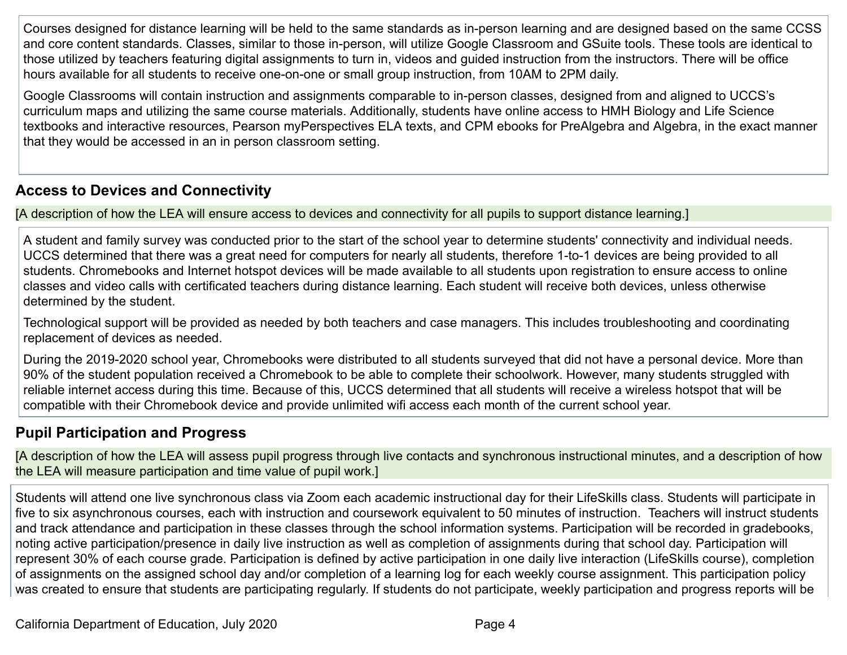Courses designed for distance learning will be held to the same standards as in-person learning and are designed based on the same CCSS and core content standards. Classes, similar to those in-person, will utilize Google Classroom and GSuite tools. These tools are identical to those utilized by teachers featuring digital assignments to turn in, videos and guided instruction from the instructors. There will be office hours available for all students to receive one-on-one or small group instruction, from 10AM to 2PM daily.

Google Classrooms will contain instruction and assignments comparable to in-person classes, designed from and aligned to UCCS's curriculum maps and utilizing the same course materials. Additionally, students have online access to HMH Biology and Life Science textbooks and interactive resources, Pearson myPerspectives ELA texts, and CPM ebooks for PreAlgebra and Algebra, in the exact manner that they would be accessed in an in person classroom setting.

### **Access to Devices and Connectivity**

[A description of how the LEA will ensure access to devices and connectivity for all pupils to support distance learning.]

A student and family survey was conducted prior to the start of the school year to determine students' connectivity and individual needs. UCCS determined that there was a great need for computers for nearly all students, therefore 1-to-1 devices are being provided to all students. Chromebooks and Internet hotspot devices will be made available to all students upon registration to ensure access to online classes and video calls with certificated teachers during distance learning. Each student will receive both devices, unless otherwise determined by the student.

Technological support will be provided as needed by both teachers and case managers. This includes troubleshooting and coordinating replacement of devices as needed.

During the 2019-2020 school year, Chromebooks were distributed to all students surveyed that did not have a personal device. More than 90% of the student population received a Chromebook to be able to complete their schoolwork. However, many students struggled with reliable internet access during this time. Because of this, UCCS determined that all students will receive a wireless hotspot that will be compatible with their Chromebook device and provide unlimited wifi access each month of the current school year.

### **Pupil Participation and Progress**

[A description of how the LEA will assess pupil progress through live contacts and synchronous instructional minutes, and a description of how the LEA will measure participation and time value of pupil work.]

Students will attend one live synchronous class via Zoom each academic instructional day for their LifeSkills class. Students will participate in five to six asynchronous courses, each with instruction and coursework equivalent to 50 minutes of instruction. Teachers will instruct students and track attendance and participation in these classes through the school information systems. Participation will be recorded in gradebooks, noting active participation/presence in daily live instruction as well as completion of assignments during that school day. Participation will represent 30% of each course grade. Participation is defined by active participation in one daily live interaction (LifeSkills course), completion of assignments on the assigned school day and/or completion of a learning log for each weekly course assignment. This participation policy was created to ensure that students are participating regularly. If students do not participate, weekly participation and progress reports will be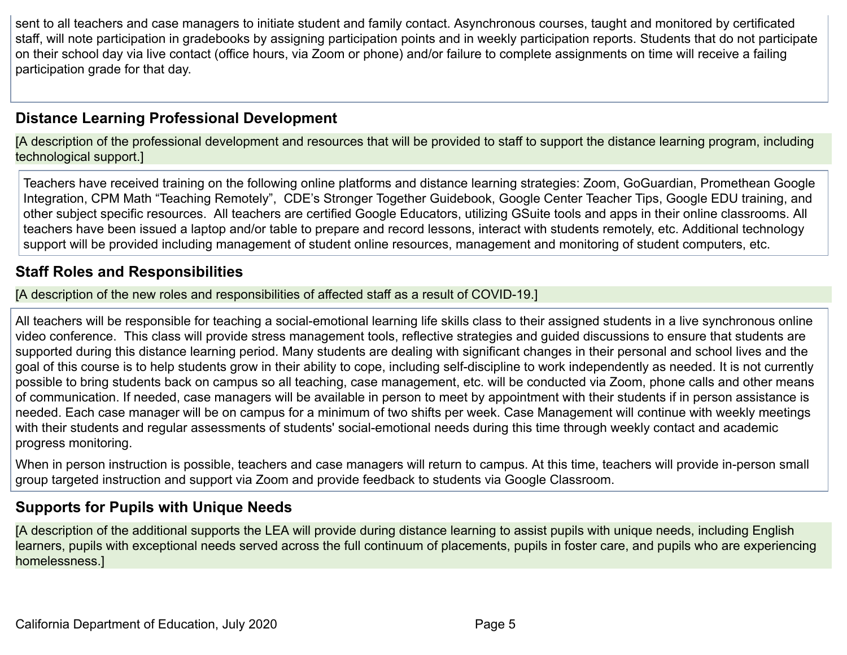sent to all teachers and case managers to initiate student and family contact. Asynchronous courses, taught and monitored by certificated staff, will note participation in gradebooks by assigning participation points and in weekly participation reports. Students that do not participate on their school day via live contact (office hours, via Zoom or phone) and/or failure to complete assignments on time will receive a failing participation grade for that day.

### **Distance Learning Professional Development**

[A description of the professional development and resources that will be provided to staff to support the distance learning program, including technological support.]

Teachers have received training on the following online platforms and distance learning strategies: Zoom, GoGuardian, Promethean Google Integration, CPM Math "Teaching Remotely", CDE's Stronger Together Guidebook, Google Center Teacher Tips, Google EDU training, and other subject specific resources. All teachers are certified Google Educators, utilizing GSuite tools and apps in their online classrooms. All teachers have been issued a laptop and/or table to prepare and record lessons, interact with students remotely, etc. Additional technology support will be provided including management of student online resources, management and monitoring of student computers, etc.

#### **Staff Roles and Responsibilities**

[A description of the new roles and responsibilities of affected staff as a result of COVID-19.]

All teachers will be responsible for teaching a social-emotional learning life skills class to their assigned students in a live synchronous online video conference. This class will provide stress management tools, reflective strategies and guided discussions to ensure that students are supported during this distance learning period. Many students are dealing with significant changes in their personal and school lives and the goal of this course is to help students grow in their ability to cope, including self-discipline to work independently as needed. It is not currently possible to bring students back on campus so all teaching, case management, etc. will be conducted via Zoom, phone calls and other means of communication. If needed, case managers will be available in person to meet by appointment with their students if in person assistance is needed. Each case manager will be on campus for a minimum of two shifts per week. Case Management will continue with weekly meetings with their students and regular assessments of students' social-emotional needs during this time through weekly contact and academic progress monitoring.

When in person instruction is possible, teachers and case managers will return to campus. At this time, teachers will provide in-person small group targeted instruction and support via Zoom and provide feedback to students via Google Classroom.

#### **Supports for Pupils with Unique Needs**

[A description of the additional supports the LEA will provide during distance learning to assist pupils with unique needs, including English learners, pupils with exceptional needs served across the full continuum of placements, pupils in foster care, and pupils who are experiencing homelessness.]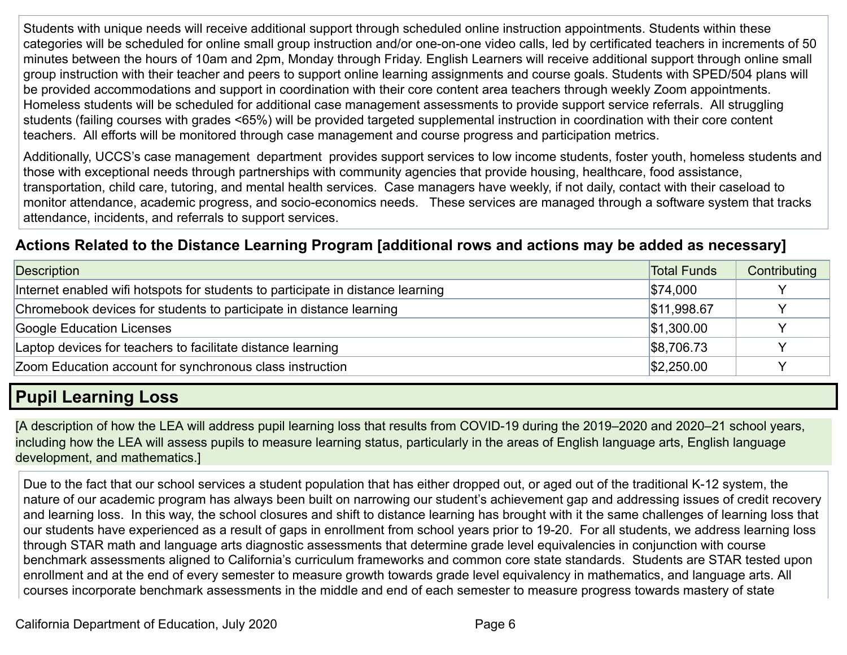Students with unique needs will receive additional support through scheduled online instruction appointments. Students within these categories will be scheduled for online small group instruction and/or one-on-one video calls, led by certificated teachers in increments of 50 minutes between the hours of 10am and 2pm, Monday through Friday. English Learners will receive additional support through online small group instruction with their teacher and peers to support online learning assignments and course goals. Students with SPED/504 plans will be provided accommodations and support in coordination with their core content area teachers through weekly Zoom appointments. Homeless students will be scheduled for additional case management assessments to provide support service referrals. All struggling students (failing courses with grades <65%) will be provided targeted supplemental instruction in coordination with their core content teachers. All efforts will be monitored through case management and course progress and participation metrics.

Additionally, UCCS's case management department provides support services to low income students, foster youth, homeless students and those with exceptional needs through partnerships with community agencies that provide housing, healthcare, food assistance, transportation, child care, tutoring, and mental health services. Case managers have weekly, if not daily, contact with their caseload to monitor attendance, academic progress, and socio-economics needs. These services are managed through a software system that tracks attendance, incidents, and referrals to support services.

### **Actions Related to the Distance Learning Program [additional rows and actions may be added as necessary]**

| Description                                                                     | <b>Total Funds</b> | Contributing |
|---------------------------------------------------------------------------------|--------------------|--------------|
| Internet enabled wifi hotspots for students to participate in distance learning | \$74,000           |              |
| Chromebook devices for students to participate in distance learning             | \$11,998.67        |              |
| Google Education Licenses                                                       | \$1,300.00         |              |
| Laptop devices for teachers to facilitate distance learning                     | \$8,706.73         |              |
| Zoom Education account for synchronous class instruction                        | \$2,250.00         |              |

## **Pupil Learning Loss**

[A description of how the LEA will address pupil learning loss that results from COVID-19 during the 2019–2020 and 2020–21 school years, including how the LEA will assess pupils to measure learning status, particularly in the areas of English language arts, English language development, and mathematics.]

Due to the fact that our school services a student population that has either dropped out, or aged out of the traditional K-12 system, the nature of our academic program has always been built on narrowing our student's achievement gap and addressing issues of credit recovery and learning loss. In this way, the school closures and shift to distance learning has brought with it the same challenges of learning loss that our students have experienced as a result of gaps in enrollment from school years prior to 19-20. For all students, we address learning loss through STAR math and language arts diagnostic assessments that determine grade level equivalencies in conjunction with course benchmark assessments aligned to California's curriculum frameworks and common core state standards. Students are STAR tested upon enrollment and at the end of every semester to measure growth towards grade level equivalency in mathematics, and language arts. All courses incorporate benchmark assessments in the middle and end of each semester to measure progress towards mastery of state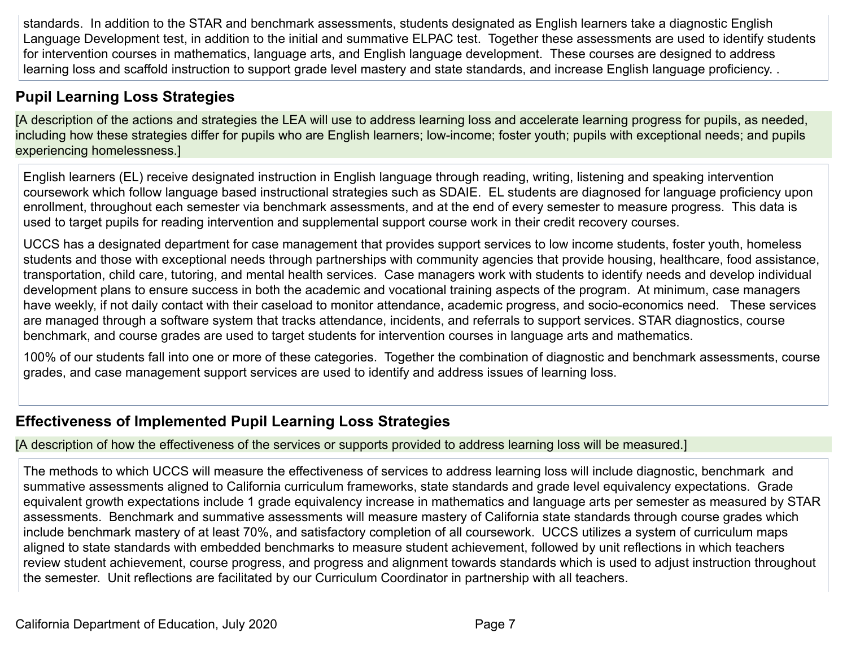standards. In addition to the STAR and benchmark assessments, students designated as English learners take a diagnostic English Language Development test, in addition to the initial and summative ELPAC test. Together these assessments are used to identify students for intervention courses in mathematics, language arts, and English language development. These courses are designed to address learning loss and scaffold instruction to support grade level mastery and state standards, and increase English language proficiency. .

## **Pupil Learning Loss Strategies**

[A description of the actions and strategies the LEA will use to address learning loss and accelerate learning progress for pupils, as needed, including how these strategies differ for pupils who are English learners; low-income; foster youth; pupils with exceptional needs; and pupils experiencing homelessness.]

English learners (EL) receive designated instruction in English language through reading, writing, listening and speaking intervention coursework which follow language based instructional strategies such as SDAIE. EL students are diagnosed for language proficiency upon enrollment, throughout each semester via benchmark assessments, and at the end of every semester to measure progress. This data is used to target pupils for reading intervention and supplemental support course work in their credit recovery courses.

UCCS has a designated department for case management that provides support services to low income students, foster youth, homeless students and those with exceptional needs through partnerships with community agencies that provide housing, healthcare, food assistance, transportation, child care, tutoring, and mental health services. Case managers work with students to identify needs and develop individual development plans to ensure success in both the academic and vocational training aspects of the program. At minimum, case managers have weekly, if not daily contact with their caseload to monitor attendance, academic progress, and socio-economics need. These services are managed through a software system that tracks attendance, incidents, and referrals to support services. STAR diagnostics, course benchmark, and course grades are used to target students for intervention courses in language arts and mathematics.

100% of our students fall into one or more of these categories. Together the combination of diagnostic and benchmark assessments, course grades, and case management support services are used to identify and address issues of learning loss.

## **Effectiveness of Implemented Pupil Learning Loss Strategies**

#### [A description of how the effectiveness of the services or supports provided to address learning loss will be measured.]

The methods to which UCCS will measure the effectiveness of services to address learning loss will include diagnostic, benchmark and summative assessments aligned to California curriculum frameworks, state standards and grade level equivalency expectations. Grade equivalent growth expectations include 1 grade equivalency increase in mathematics and language arts per semester as measured by STAR assessments. Benchmark and summative assessments will measure mastery of California state standards through course grades which include benchmark mastery of at least 70%, and satisfactory completion of all coursework. UCCS utilizes a system of curriculum maps aligned to state standards with embedded benchmarks to measure student achievement, followed by unit reflections in which teachers review student achievement, course progress, and progress and alignment towards standards which is used to adjust instruction throughout the semester. Unit reflections are facilitated by our Curriculum Coordinator in partnership with all teachers.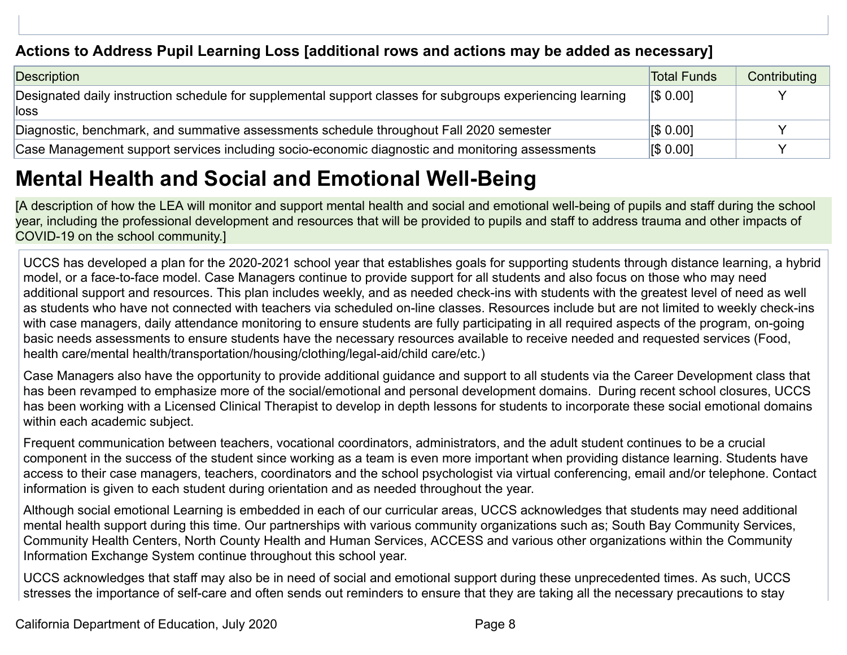### **Actions to Address Pupil Learning Loss [additional rows and actions may be added as necessary]**

| Description                                                                                                         | <b>Total Funds</b>                 | Contributing |
|---------------------------------------------------------------------------------------------------------------------|------------------------------------|--------------|
| Designated daily instruction schedule for supplemental support classes for subgroups experiencing learning<br>lloss | $\left  \mathbf{\$}\ 0.00 \right $ |              |
| Diagnostic, benchmark, and summative assessments schedule throughout Fall 2020 semester                             | <b>IS 0.001</b>                    |              |
| Case Management support services including socio-economic diagnostic and monitoring assessments                     | $\sqrt{50.001}$                    |              |

## **Mental Health and Social and Emotional Well-Being**

[A description of how the LEA will monitor and support mental health and social and emotional well-being of pupils and staff during the school year, including the professional development and resources that will be provided to pupils and staff to address trauma and other impacts of COVID-19 on the school community.]

UCCS has developed a plan for the 2020-2021 school year that establishes goals for supporting students through distance learning, a hybrid model, or a face-to-face model. Case Managers continue to provide support for all students and also focus on those who may need additional support and resources. This plan includes weekly, and as needed check-ins with students with the greatest level of need as well as students who have not connected with teachers via scheduled on-line classes. Resources include but are not limited to weekly check-ins with case managers, daily attendance monitoring to ensure students are fully participating in all required aspects of the program, on-going basic needs assessments to ensure students have the necessary resources available to receive needed and requested services (Food, health care/mental health/transportation/housing/clothing/legal-aid/child care/etc.)

Case Managers also have the opportunity to provide additional guidance and support to all students via the Career Development class that has been revamped to emphasize more of the social/emotional and personal development domains. During recent school closures, UCCS has been working with a Licensed Clinical Therapist to develop in depth lessons for students to incorporate these social emotional domains within each academic subject.

Frequent communication between teachers, vocational coordinators, administrators, and the adult student continues to be a crucial component in the success of the student since working as a team is even more important when providing distance learning. Students have access to their case managers, teachers, coordinators and the school psychologist via virtual conferencing, email and/or telephone. Contact information is given to each student during orientation and as needed throughout the year.

Although social emotional Learning is embedded in each of our curricular areas, UCCS acknowledges that students may need additional mental health support during this time. Our partnerships with various community organizations such as; South Bay Community Services, Community Health Centers, North County Health and Human Services, ACCESS and various other organizations within the Community Information Exchange System continue throughout this school year.

UCCS acknowledges that staff may also be in need of social and emotional support during these unprecedented times. As such, UCCS stresses the importance of self-care and often sends out reminders to ensure that they are taking all the necessary precautions to stay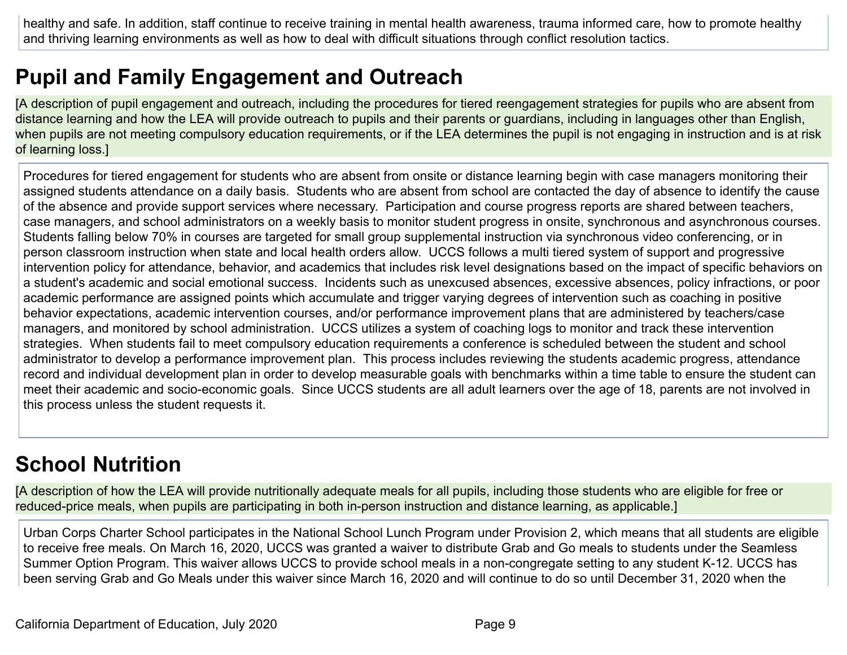healthy and safe. In addition, staff continue to receive training in mental health awareness, trauma informed care, how to promote healthy and thriving learning environments as well as how to deal with difficult situations through conflict resolution tactics.

## **Pupil and Family Engagement and Outreach**

[A description of pupil engagement and outreach, including the procedures for tiered reengagement strategies for pupils who are absent from distance learning and how the LEA will provide outreach to pupils and their parents or guardians, including in languages other than English, when pupils are not meeting compulsory education requirements, or if the LEA determines the pupil is not engaging in instruction and is at risk of learning loss.]

Procedures for tiered engagement for students who are absent from onsite or distance learning begin with case managers monitoring their assigned students attendance on a daily basis. Students who are absent from school are contacted the day of absence to identify the cause of the absence and provide support services where necessary. Participation and course progress reports are shared between teachers, case managers, and school administrators on a weekly basis to monitor student progress in onsite, synchronous and asynchronous courses. Students falling below 70% in courses are targeted for small group supplemental instruction via synchronous video conferencing, or in person classroom instruction when state and local health orders allow. UCCS follows a multi tiered system of support and progressive intervention policy for attendance, behavior, and academics that includes risk level designations based on the impact of specific behaviors on a student's academic and social emotional success. Incidents such as unexcused absences, excessive absences, policy infractions, or poor academic performance are assigned points which accumulate and trigger varying degrees of intervention such as coaching in positive behavior expectations, academic intervention courses, and/or performance improvement plans that are administered by teachers/case managers, and monitored by school administration. UCCS utilizes a system of coaching logs to monitor and track these intervention strategies. When students fail to meet compulsory education requirements a conference is scheduled between the student and school administrator to develop a performance improvement plan. This process includes reviewing the students academic progress, attendance record and individual development plan in order to develop measurable goals with benchmarks within a time table to ensure the student can meet their academic and socio-economic goals. Since UCCS students are all adult learners over the age of 18, parents are not involved in this process unless the student requests it.

## **School Nutrition**

[A description of how the LEA will provide nutritionally adequate meals for all pupils, including those students who are eligible for free or reduced-price meals, when pupils are participating in both in-person instruction and distance learning, as applicable.]

Urban Corps Charter School participates in the National School Lunch Program under Provision 2, which means that all students are eligible to receive free meals. On March 16, 2020, UCCS was granted a waiver to distribute Grab and Go meals to students under the Seamless Summer Option Program. This waiver allows UCCS to provide school meals in a non-congregate setting to any student K-12. UCCS has been serving Grab and Go Meals under this waiver since March 16, 2020 and will continue to do so until December 31, 2020 when the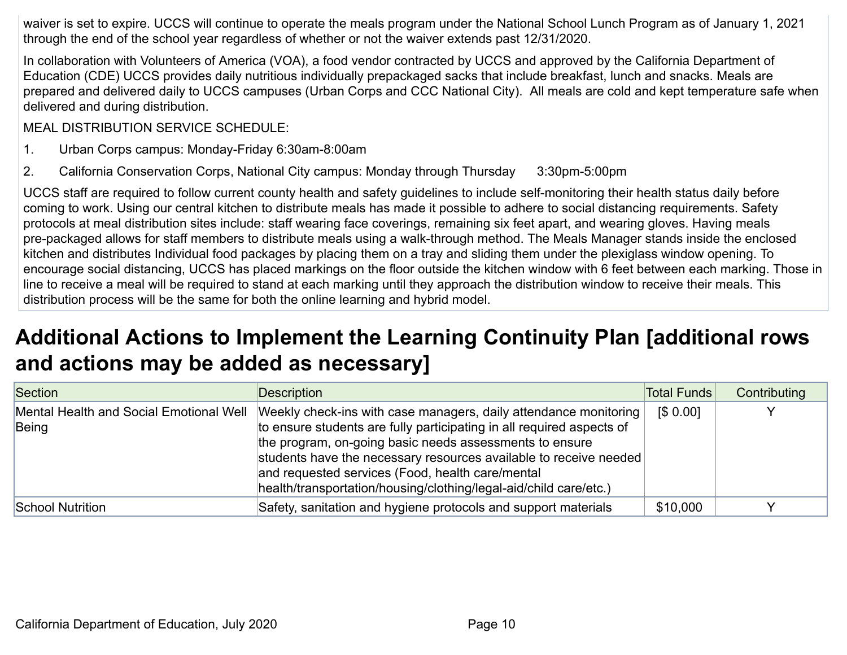waiver is set to expire. UCCS will continue to operate the meals program under the National School Lunch Program as of January 1, 2021 through the end of the school year regardless of whether or not the waiver extends past 12/31/2020.

In collaboration with Volunteers of America (VOA), a food vendor contracted by UCCS and approved by the California Department of Education (CDE) UCCS provides daily nutritious individually prepackaged sacks that include breakfast, lunch and snacks. Meals are prepared and delivered daily to UCCS campuses (Urban Corps and CCC National City). All meals are cold and kept temperature safe when delivered and during distribution.

MEAL DISTRIBUTION SERVICE SCHEDULE:

- 1. Urban Corps campus: Monday-Friday 6:30am-8:00am
- 2. California Conservation Corps, National City campus: Monday through Thursday 3:30pm-5:00pm

UCCS staff are required to follow current county health and safety guidelines to include self-monitoring their health status daily before coming to work. Using our central kitchen to distribute meals has made it possible to adhere to social distancing requirements. Safety protocols at meal distribution sites include: staff wearing face coverings, remaining six feet apart, and wearing gloves. Having meals pre-packaged allows for staff members to distribute meals using a walk-through method. The Meals Manager stands inside the enclosed kitchen and distributes Individual food packages by placing them on a tray and sliding them under the plexiglass window opening. To encourage social distancing, UCCS has placed markings on the floor outside the kitchen window with 6 feet between each marking. Those in line to receive a meal will be required to stand at each marking until they approach the distribution window to receive their meals. This distribution process will be the same for both the online learning and hybrid model.

## **Additional Actions to Implement the Learning Continuity Plan [additional rows and actions may be added as necessary]**

| Section                                          | Description                                                                                                                                                                                                                                                                                                                                                                                        | Total Funds | Contributing |
|--------------------------------------------------|----------------------------------------------------------------------------------------------------------------------------------------------------------------------------------------------------------------------------------------------------------------------------------------------------------------------------------------------------------------------------------------------------|-------------|--------------|
| Mental Health and Social Emotional Well<br>Being | Weekly check-ins with case managers, daily attendance monitoring<br>to ensure students are fully participating in all required aspects of<br>the program, on-going basic needs assessments to ensure<br>students have the necessary resources available to receive needed<br>and requested services (Food, health care/mental<br>health/transportation/housing/clothing/legal-aid/child care/etc.) | [\$ 0.00]   |              |
| School Nutrition                                 | Safety, sanitation and hygiene protocols and support materials                                                                                                                                                                                                                                                                                                                                     | \$10,000    |              |